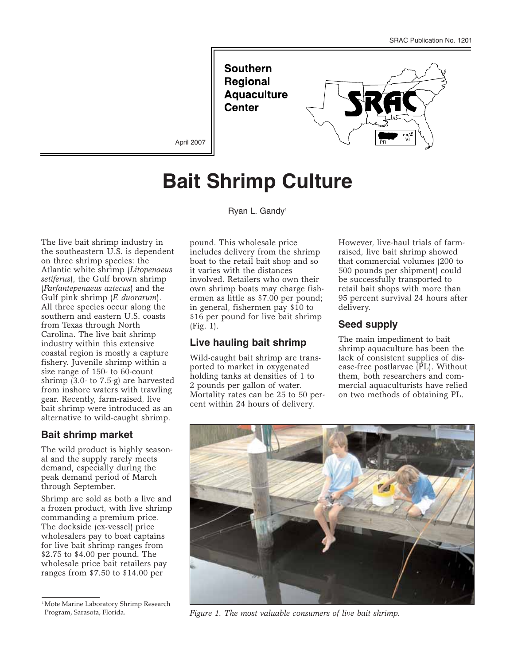**Southern Regional Aquaculture Center** 



April 2007

# **Bait Shrimp Culture**

Ryan L. Gandy<sup>1</sup>

The live bait shrimp industry in the southeastern U.S. is dependent on three shrimp species: the Atlantic white shrimp (*Litopenaeus setiferus*), the Gulf brown shrimp (*Farfantepenaeus aztecus*) and the Gulf pink shrimp (*F. duorarum*). All three species occur along the southern and eastern U.S. coasts from Texas through North Carolina. The live bait shrimp industry within this extensive coastal region is mostly a capture fishery. Juvenile shrimp within a size range of 150- to 60-count shrimp (3.0- to 7.5-g) are harvested from inshore waters with trawling gear. Recently, farm-raised, live bait shrimp were introduced as an alternative to wild-caught shrimp.

## **Bait shrimp market**

The wild product is highly seasonal and the supply rarely meets demand, especially during the peak demand period of March through September.

Shrimp are sold as both a live and a frozen product, with live shrimp commanding a premium price. The dockside (ex-vessel) price wholesalers pay to boat captains for live bait shrimp ranges from \$2.75 to \$4.00 per pound. The wholesale price bait retailers pay ranges from \$7.50 to \$14.00 per

<sup>1</sup>Mote Marine Laboratory Shrimp Research Program, Sarasota, Florida.

pound. This wholesale price includes delivery from the shrimp boat to the retail bait shop and so it varies with the distances involved. Retailers who own their own shrimp boats may charge fishermen as little as \$7.00 per pound; in general, fishermen pay \$10 to \$16 per pound for live bait shrimp (Fig. 1).

## **Live hauling bait shrimp**

Wild-caught bait shrimp are transported to market in oxygenated holding tanks at densities of 1 to 2 pounds per gallon of water. Mortality rates can be 25 to 50 percent within 24 hours of delivery.

However, live-haul trials of farmraised, live bait shrimp showed that commercial volumes (200 to 500 pounds per shipment) could be successfully transported to retail bait shops with more than 95 percent survival 24 hours after delivery.

## **Seed supply**

The main impediment to bait shrimp aquaculture has been the lack of consistent supplies of disease-free postlarvae (PL). Without them, both researchers and commercial aquaculturists have relied on two methods of obtaining PL.



*Figure 1. The most valuable consumers of live bait shrimp.*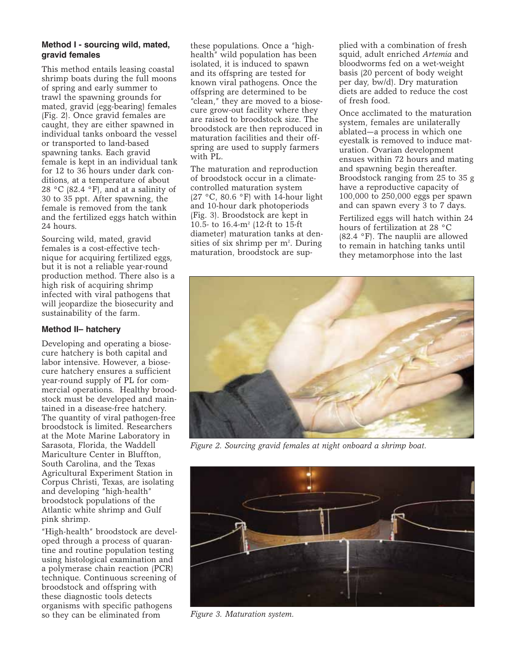#### **Method I - sourcing wild, mated, gravid females**

This method entails leasing coastal shrimp boats during the full moons of spring and early summer to trawl the spawning grounds for mated, gravid (egg-bearing) females (Fig. 2). Once gravid females are caught, they are either spawned in individual tanks onboard the vessel or transported to land-based spawning tanks. Each gravid female is kept in an individual tank for 12 to 36 hours under dark conditions, at a temperature of about 28 °C (82.4 °F), and at a salinity of 30 to 35 ppt. After spawning, the female is removed from the tank and the fertilized eggs hatch within 24 hours.

Sourcing wild, mated, gravid females is a cost-effective technique for acquiring fertilized eggs, but it is not a reliable year-round production method. There also is a high risk of acquiring shrimp infected with viral pathogens that will jeopardize the biosecurity and sustainability of the farm.

#### **Method II– hatchery**

Developing and operating a biosecure hatchery is both capital and labor intensive. However, a biosecure hatchery ensures a sufficient year-round supply of PL for commercial operations. Healthy broodstock must be developed and maintained in a disease-free hatchery. The quantity of viral pathogen-free broodstock is limited. Researchers at the Mote Marine Laboratory in Sarasota, Florida, the Waddell Mariculture Center in Bluffton, South Carolina, and the Texas Agricultural Experiment Station in Corpus Christi, Texas, are isolating and developing "high-health" broodstock populations of the Atlantic white shrimp and Gulf pink shrimp.

"High-health" broodstock are developed through a process of quarantine and routine population testing using histological examination and a polymerase chain reaction (PCR) technique. Continuous screening of broodstock and offspring with these diagnostic tools detects organisms with specific pathogens so they can be eliminated from

these populations. Once a "highhealth" wild population has been isolated, it is induced to spawn and its offspring are tested for known viral pathogens. Once the offspring are determined to be "clean," they are moved to a biosecure grow-out facility where they are raised to broodstock size. The broodstock are then reproduced in maturation facilities and their offspring are used to supply farmers with PL.

The maturation and reproduction of broodstock occur in a climatecontrolled maturation system (27 °C, 80.6 °F) with 14-hour light and 10-hour dark photoperiods (Fig. 3). Broodstock are kept in 10.5- to 16.4-m2 (12-ft to 15-ft diameter) maturation tanks at densities of six shrimp per m<sup>2</sup>. During maturation, broodstock are supplied with a combination of fresh squid, adult enriched *Artemia* and bloodworms fed on a wet-weight basis (20 percent of body weight per day, bw/d). Dry maturation diets are added to reduce the cost of fresh food.

Once acclimated to the maturation system, females are unilaterally ablated—a process in which one eyestalk is removed to induce maturation. Ovarian development ensues within 72 hours and mating and spawning begin thereafter. Broodstock ranging from 25 to 35 g have a reproductive capacity of 100,000 to 250,000 eggs per spawn and can spawn every 3 to 7 days.

Fertilized eggs will hatch within 24 hours of fertilization at 28 °C (82.4 °F). The nauplii are allowed to remain in hatching tanks until they metamorphose into the last



*Figure 2. Sourcing gravid females at night onboard a shrimp boat.*



*Figure 3. Maturation system.*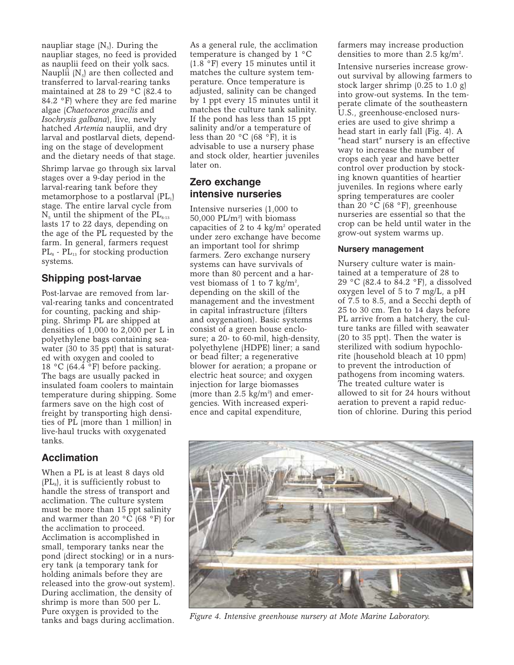naupliar stage  $(N_5)$ . During the naupliar stages, no feed is provided as nauplii feed on their yolk sacs. Nauplii  $(N_5)$  are then collected and transferred to larval-rearing tanks maintained at 28 to 29  $\degree$ C (82.4 to 84.2 °F) where they are fed marine algae (*Chaetoceros gracilis* and *Isochrysis galbana*), live, newly hatched *Artemia* nauplii, and dry larval and postlarval diets, depending on the stage of development and the dietary needs of that stage.

Shrimp larvae go through six larval stages over a 9-day period in the larval-rearing tank before they metamorphose to a postlarval  $(PL_1)$ stage. The entire larval cycle from  $N<sub>5</sub>$  until the shipment of the  $PL<sub>8-13</sub>$ lasts 17 to 22 days, depending on the age of the PL requested by the farm. In general, farmers request  $PL_8$  -  $PL_{13}$  for stocking production systems.

## **Shipping post-larvae**

Post-larvae are removed from larval-rearing tanks and concentrated for counting, packing and shipping. Shrimp PL are shipped at densities of 1,000 to 2,000 per L in polyethylene bags containing seawater (30 to 35 ppt) that is saturated with oxygen and cooled to 18 °C (64.4 °F) before packing. The bags are usually packed in insulated foam coolers to maintain temperature during shipping. Some farmers save on the high cost of freight by transporting high densities of PL (more than 1 million) in live-haul trucks with oxygenated tanks.

## **Acclimation**

When a PL is at least 8 days old  $(PL<sub>s</sub>)$ , it is sufficiently robust to handle the stress of transport and acclimation. The culture system must be more than 15 ppt salinity and warmer than 20  $\rm{^{\circ}C}$  (68  $\rm{^{\circ}F}$ ) for the acclimation to proceed. Acclimation is accomplished in small, temporary tanks near the pond (direct stocking) or in a nursery tank (a temporary tank for holding animals before they are released into the grow-out system). During acclimation, the density of shrimp is more than 500 per L. Pure oxygen is provided to the tanks and bags during acclimation.

As a general rule, the acclimation temperature is changed by 1 °C (1.8 °F) every 15 minutes until it matches the culture system temperature. Once temperature is adjusted, salinity can be changed by 1 ppt every 15 minutes until it matches the culture tank salinity. If the pond has less than 15 ppt salinity and/or a temperature of less than 20 °C (68 °F), it is advisable to use a nursery phase and stock older, heartier juveniles later on.

# **Zero exchange intensive nurseries**

Intensive nurseries (1,000 to  $50,000$  PL/m<sup>2</sup>) with biomass capacities of 2 to 4 kg/ $m<sup>2</sup>$  operated under zero exchange have become an important tool for shrimp farmers. Zero exchange nursery systems can have survivals of more than 80 percent and a harvest biomass of 1 to 7  $\text{kg/m}^2$ , depending on the skill of the management and the investment in capital infrastructure (filters and oxygenation). Basic systems consist of a green house enclosure; a 20- to 60-mil, high-density, polyethylene (HDPE) liner; a sand or bead filter; a regenerative blower for aeration; a propane or electric heat source; and oxygen injection for large biomasses (more than  $2.5 \text{ kg/m}^2$ ) and emergencies. With increased experience and capital expenditure,

farmers may increase production densities to more than  $2.5 \text{ kg/m}^2$ .

Intensive nurseries increase growout survival by allowing farmers to stock larger shrimp (0.25 to 1.0 g) into grow-out systems. In the temperate climate of the southeastern U.S., greenhouse-enclosed nurseries are used to give shrimp a head start in early fall (Fig. 4). A "head start" nursery is an effective way to increase the number of crops each year and have better control over production by stocking known quantities of heartier juveniles. In regions where early spring temperatures are cooler than  $20 °C$  (68 °F), greenhouse nurseries are essential so that the crop can be held until water in the grow-out system warms up.

#### **Nursery management**

Nursery culture water is maintained at a temperature of 28 to 29 °C (82.4 to  $\overline{8}4.2$  °F), a dissolved oxygen level of 5 to 7 mg/L, a pH of 7.5 to 8.5, and a Secchi depth of 25 to 30 cm. Ten to 14 days before PL arrive from a hatchery, the culture tanks are filled with seawater (20 to 35 ppt). Then the water is sterilized with sodium hypochlorite (household bleach at 10 ppm) to prevent the introduction of pathogens from incoming waters. The treated culture water is allowed to sit for 24 hours without aeration to prevent a rapid reduction of chlorine. During this period



*Figure 4. Intensive greenhouse nursery at Mote Marine Laboratory.*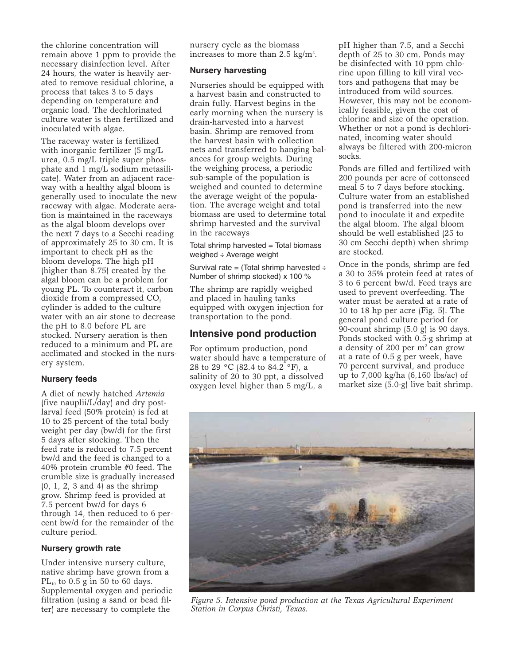the chlorine concentration will remain above 1 ppm to provide the necessary disinfection level. After 24 hours, the water is heavily aerated to remove residual chlorine, a process that takes 3 to 5 days depending on temperature and organic load. The dechlorinated culture water is then fertilized and inoculated with algae.

The raceway water is fertilized with inorganic fertilizer (5 mg/L urea, 0.5 mg/L triple super phosphate and 1 mg/L sodium metasilicate). Water from an adjacent raceway with a healthy algal bloom is generally used to inoculate the new raceway with algae. Moderate aeration is maintained in the raceways as the algal bloom develops over the next 7 days to a Secchi reading of approximately 25 to 30 cm. It is important to check pH as the bloom develops. The high pH (higher than 8.75) created by the algal bloom can be a problem for young PL. To counteract it, carbon dioxide from a compressed  $CO<sub>2</sub>$ cylinder is added to the culture water with an air stone to decrease the pH to 8.0 before PL are stocked. Nursery aeration is then reduced to a minimum and PL are acclimated and stocked in the nursery system.

#### **Nursery feeds**

A diet of newly hatched *Artemia* (five nauplii/L/day) and dry postlarval feed (50% protein) is fed at 10 to 25 percent of the total body weight per day (bw/d) for the first 5 days after stocking. Then the feed rate is reduced to 7.5 percent bw/d and the feed is changed to a 40% protein crumble #0 feed. The crumble size is gradually increased (0, 1, 2, 3 and 4) as the shrimp grow. Shrimp feed is provided at 7.5 percent bw/d for days 6 through 14, then reduced to 6 percent bw/d for the remainder of the culture period.

#### **Nursery growth rate**

Under intensive nursery culture, native shrimp have grown from a  $PL_{10}$  to 0.5 g in 50 to 60 days. Supplemental oxygen and periodic filtration (using a sand or bead filter) are necessary to complete the

nursery cycle as the biomass increases to more than 2.5 kg/m<sup>2</sup>.

#### **Nursery harvesting**

Nurseries should be equipped with a harvest basin and constructed to drain fully. Harvest begins in the early morning when the nursery is drain-harvested into a harvest basin. Shrimp are removed from the harvest basin with collection nets and transferred to hanging balances for group weights. During the weighing process, a periodic sub-sample of the population is weighed and counted to determine the average weight of the population. The average weight and total biomass are used to determine total shrimp harvested and the survival in the raceways

Total shrimp harvested = Total biomass weighed ÷ Average weight

Survival rate = (Total shrimp harvested  $\div$ Number of shrimp stocked) x 100 %

The shrimp are rapidly weighed and placed in hauling tanks equipped with oxygen injection for transportation to the pond.

#### **Intensive pond production**

For optimum production, pond water should have a temperature of 28 to 29 °C (82.4 to 84.2 °F), a salinity of 20 to 30 ppt, a dissolved oxygen level higher than 5 mg/L, a

pH higher than 7.5, and a Secchi depth of 25 to 30 cm. Ponds may be disinfected with 10 ppm chlorine upon filling to kill viral vectors and pathogens that may be introduced from wild sources. However, this may not be economically feasible, given the cost of chlorine and size of the operation. Whether or not a pond is dechlorinated, incoming water should always be filtered with 200-micron socks.

Ponds are filled and fertilized with 200 pounds per acre of cottonseed meal 5 to 7 days before stocking. Culture water from an established pond is transferred into the new pond to inoculate it and expedite the algal bloom. The algal bloom should be well established (25 to 30 cm Secchi depth) when shrimp are stocked.

Once in the ponds, shrimp are fed a 30 to 35% protein feed at rates of 3 to 6 percent bw/d. Feed trays are used to prevent overfeeding. The water must be aerated at a rate of 10 to 18 hp per acre (Fig. 5). The general pond culture period for 90-count shrimp (5.0 g) is 90 days. Ponds stocked with 0.5-g shrimp at a density of 200 per  $m<sup>2</sup>$  can grow at a rate of 0.5 g per week, have 70 percent survival, and produce up to 7,000 kg/ha (6,160 lbs/ac) of market size (5.0-g) live bait shrimp.



*Figure 5. Intensive pond production at the Texas Agricultural Experiment Station in Corpus Christi, Texas.*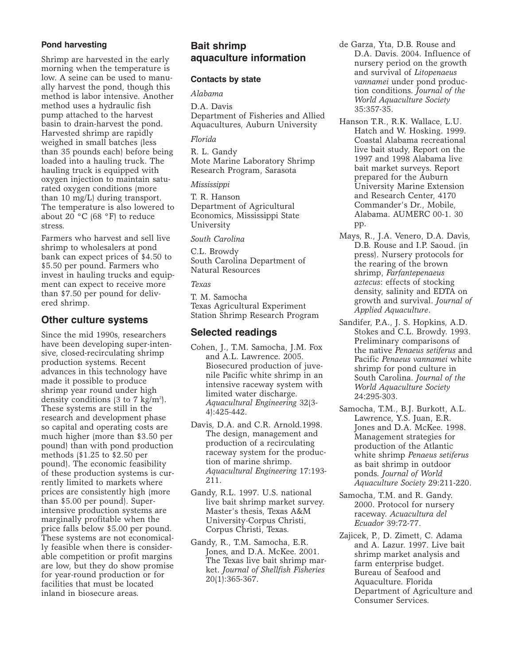#### **Pond harvesting**

Shrimp are harvested in the early morning when the temperature is low. A seine can be used to manually harvest the pond, though this method is labor intensive. Another method uses a hydraulic fish pump attached to the harvest basin to drain-harvest the pond. Harvested shrimp are rapidly weighed in small batches (less than 35 pounds each) before being loaded into a hauling truck. The hauling truck is equipped with oxygen injection to maintain saturated oxygen conditions (more than 10 mg/L) during transport. The temperature is also lowered to about 20 $\degree$ C (68 $\degree$ F) to reduce stress.

Farmers who harvest and sell live shrimp to wholesalers at pond bank can expect prices of \$4.50 to \$5.50 per pound. Farmers who invest in hauling trucks and equipment can expect to receive more than \$7.50 per pound for delivered shrimp.

## **Other culture systems**

Since the mid 1990s, researchers have been developing super-intensive, closed-recirculating shrimp production systems. Recent advances in this technology have made it possible to produce shrimp year round under high density conditions (3 to 7 kg/m<sup>2</sup>). These systems are still in the research and development phase so capital and operating costs are much higher (more than \$3.50 per pound) than with pond production methods (\$1.25 to \$2.50 per pound). The economic feasibility of these production systems is currently limited to markets where prices are consistently high (more than \$5.00 per pound). Superintensive production systems are marginally profitable when the price falls below \$5.00 per pound. These systems are not economically feasible when there is considerable competition or profit margins are low, but they do show promise for year-round production or for facilities that must be located inland in biosecure areas.

## **Bait shrimp aquaculture information**

#### **Contacts by state**

*Alabama*

D.A. Davis Department of Fisheries and Allied Aquacultures, Auburn University

*Florida*

R. L. Gandy Mote Marine Laboratory Shrimp Research Program, Sarasota

*Mississippi*

T. R. Hanson Department of Agricultural Economics, Mississippi State University

*South Carolina*

C.L. Browdy South Carolina Department of Natural Resources

*Texas*

T. M. Samocha Texas Agricultural Experiment Station Shrimp Research Program

# **Selected readings**

- Cohen, J., T.M. Samocha, J.M. Fox and A.L. Lawrence. 2005. Biosecured production of juvenile Pacific white shrimp in an intensive raceway system with limited water discharge. *Aquacultural Engineering* 32(3- 4):425-442.
- Davis, D.A. and C.R. Arnold.1998. The design, management and production of a recirculating raceway system for the production of marine shrimp. *Aquacultural Engineering* 17:193- 211.
- Gandy, R.L. 1997. U.S. national live bait shrimp market survey. Master's thesis, Texas A&M University-Corpus Christi, Corpus Christi, Texas.
- Gandy, R., T.M. Samocha, E.R. Jones, and D.A. McKee. 2001. The Texas live bait shrimp market. *Journal of Shellfish Fisheries* 20(1):365-367.
- de Garza, Yta, D.B. Rouse and D.A. Davis. 2004. Influence of nursery period on the growth and survival of *Litopenaeus vannamei* under pond production conditions. *Journal of the World Aquaculture Society* 35:357-35.
- Hanson T.R., R.K. Wallace, L.U. Hatch and W. Hosking. 1999. Coastal Alabama recreational live bait study, Report on the 1997 and 1998 Alabama live bait market surveys. Report prepared for the Auburn University Marine Extension and Research Center, 4170 Commander's Dr., Mobile, Alabama. AUMERC 00-1. 30 pp.
- Mays, R., J.A. Venero, D.A. Davis, D.B. Rouse and I.P. Saoud. (in press). Nursery protocols for the rearing of the brown shrimp, *Farfantepenaeus aztecus*: effects of stocking density, salinity and EDTA on growth and survival. *Journal of Applied Aquaculture*.
- Sandifer, P.A., J. S. Hopkins, A.D. Stokes and C.L. Browdy. 1993. Preliminary comparisons of the native *Penaeus setiferus* and Pacific *Penaeus vannamei* white shrimp for pond culture in South Carolina. *Journal of the World Aquaculture Society* 24:295-303.
- Samocha, T.M., B.J. Burkott, A.L. Lawrence, Y.S. Juan, E.R. Jones and D.A. McKee. 1998. Management strategies for production of the Atlantic white shrimp *Penaeus setiferus* as bait shrimp in outdoor ponds. *Journal of World Aquaculture Society* 29:211-220.
- Samocha, T.M. and R. Gandy. 2000. Protocol for nursery raceway. *Acuacultura del Ecuador* 39:72-77.
- Zajicek, P., D. Zimett, C. Adama and A. Lazur. 1997. Live bait shrimp market analysis and farm enterprise budget. Bureau of Seafood and Aquaculture. Florida Department of Agriculture and Consumer Services.